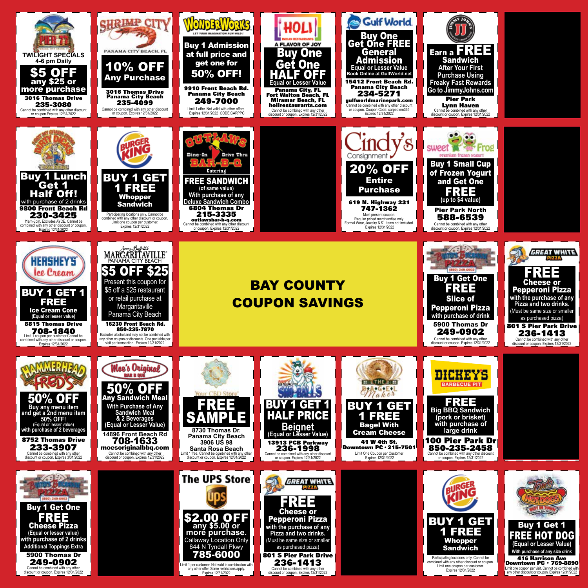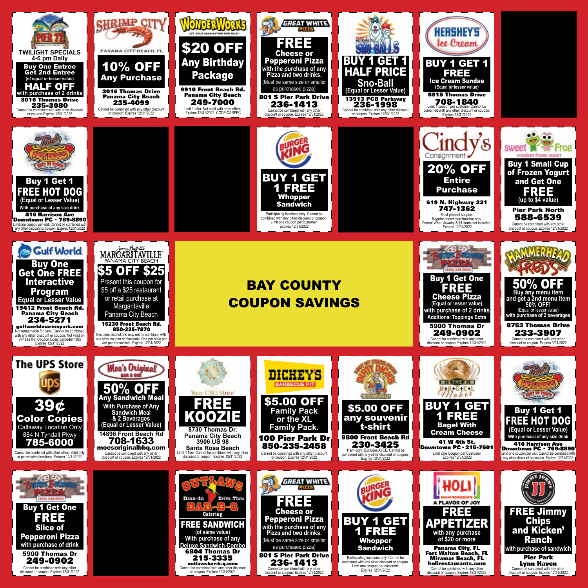